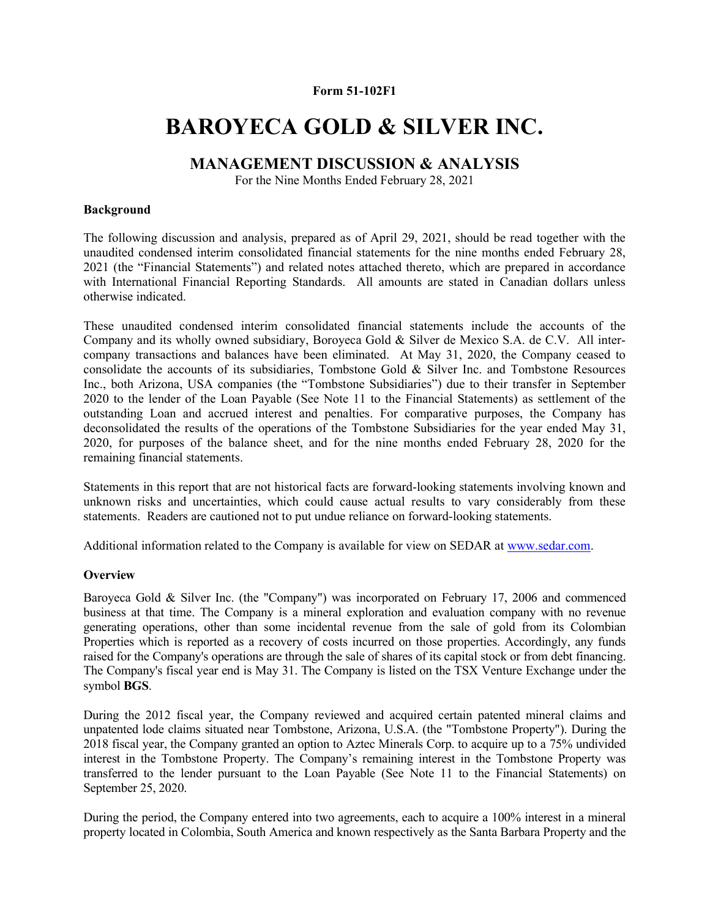#### Form 51-102F1

# BAROYECA GOLD & SILVER INC.

# MANAGEMENT DISCUSSION & ANALYSIS

For the Nine Months Ended February 28, 2021

### Background

The following discussion and analysis, prepared as of April 29, 2021, should be read together with the unaudited condensed interim consolidated financial statements for the nine months ended February 28, 2021 (the "Financial Statements") and related notes attached thereto, which are prepared in accordance with International Financial Reporting Standards. All amounts are stated in Canadian dollars unless otherwise indicated.

These unaudited condensed interim consolidated financial statements include the accounts of the Company and its wholly owned subsidiary, Boroyeca Gold & Silver de Mexico S.A. de C.V. All intercompany transactions and balances have been eliminated. At May 31, 2020, the Company ceased to consolidate the accounts of its subsidiaries, Tombstone Gold & Silver Inc. and Tombstone Resources Inc., both Arizona, USA companies (the "Tombstone Subsidiaries") due to their transfer in September 2020 to the lender of the Loan Payable (See Note 11 to the Financial Statements) as settlement of the outstanding Loan and accrued interest and penalties. For comparative purposes, the Company has deconsolidated the results of the operations of the Tombstone Subsidiaries for the year ended May 31, 2020, for purposes of the balance sheet, and for the nine months ended February 28, 2020 for the remaining financial statements.

Statements in this report that are not historical facts are forward-looking statements involving known and unknown risks and uncertainties, which could cause actual results to vary considerably from these statements. Readers are cautioned not to put undue reliance on forward-looking statements.

Additional information related to the Company is available for view on SEDAR at www.sedar.com.

### **Overview**

Baroyeca Gold & Silver Inc. (the "Company") was incorporated on February 17, 2006 and commenced business at that time. The Company is a mineral exploration and evaluation company with no revenue generating operations, other than some incidental revenue from the sale of gold from its Colombian Properties which is reported as a recovery of costs incurred on those properties. Accordingly, any funds raised for the Company's operations are through the sale of shares of its capital stock or from debt financing. The Company's fiscal year end is May 31. The Company is listed on the TSX Venture Exchange under the symbol BGS.

During the 2012 fiscal year, the Company reviewed and acquired certain patented mineral claims and unpatented lode claims situated near Tombstone, Arizona, U.S.A. (the "Tombstone Property"). During the 2018 fiscal year, the Company granted an option to Aztec Minerals Corp. to acquire up to a 75% undivided interest in the Tombstone Property. The Company's remaining interest in the Tombstone Property was transferred to the lender pursuant to the Loan Payable (See Note 11 to the Financial Statements) on September 25, 2020.

During the period, the Company entered into two agreements, each to acquire a 100% interest in a mineral property located in Colombia, South America and known respectively as the Santa Barbara Property and the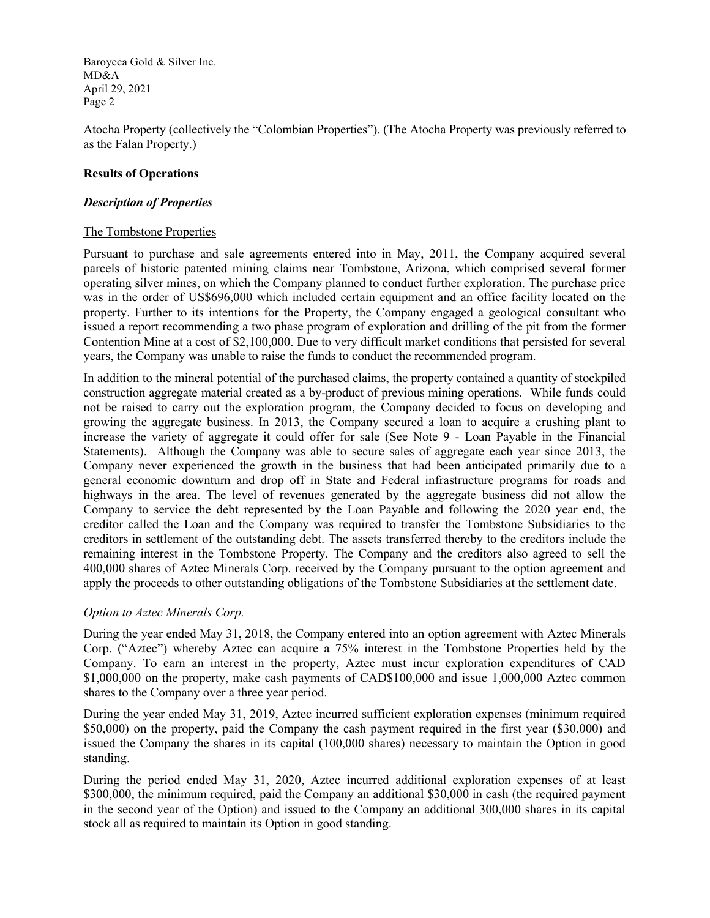Atocha Property (collectively the "Colombian Properties"). (The Atocha Property was previously referred to as the Falan Property.)

### Results of Operations

#### Description of Properties

#### The Tombstone Properties

Pursuant to purchase and sale agreements entered into in May, 2011, the Company acquired several parcels of historic patented mining claims near Tombstone, Arizona, which comprised several former operating silver mines, on which the Company planned to conduct further exploration. The purchase price was in the order of US\$696,000 which included certain equipment and an office facility located on the property. Further to its intentions for the Property, the Company engaged a geological consultant who issued a report recommending a two phase program of exploration and drilling of the pit from the former Contention Mine at a cost of \$2,100,000. Due to very difficult market conditions that persisted for several years, the Company was unable to raise the funds to conduct the recommended program.

In addition to the mineral potential of the purchased claims, the property contained a quantity of stockpiled construction aggregate material created as a by-product of previous mining operations. While funds could not be raised to carry out the exploration program, the Company decided to focus on developing and growing the aggregate business. In 2013, the Company secured a loan to acquire a crushing plant to increase the variety of aggregate it could offer for sale (See Note 9 - Loan Payable in the Financial Statements). Although the Company was able to secure sales of aggregate each year since 2013, the Company never experienced the growth in the business that had been anticipated primarily due to a general economic downturn and drop off in State and Federal infrastructure programs for roads and highways in the area. The level of revenues generated by the aggregate business did not allow the Company to service the debt represented by the Loan Payable and following the 2020 year end, the creditor called the Loan and the Company was required to transfer the Tombstone Subsidiaries to the creditors in settlement of the outstanding debt. The assets transferred thereby to the creditors include the remaining interest in the Tombstone Property. The Company and the creditors also agreed to sell the 400,000 shares of Aztec Minerals Corp. received by the Company pursuant to the option agreement and apply the proceeds to other outstanding obligations of the Tombstone Subsidiaries at the settlement date.

### Option to Aztec Minerals Corp.

During the year ended May 31, 2018, the Company entered into an option agreement with Aztec Minerals Corp. ("Aztec") whereby Aztec can acquire a 75% interest in the Tombstone Properties held by the Company. To earn an interest in the property, Aztec must incur exploration expenditures of CAD \$1,000,000 on the property, make cash payments of CAD\$100,000 and issue 1,000,000 Aztec common shares to the Company over a three year period.

During the year ended May 31, 2019, Aztec incurred sufficient exploration expenses (minimum required \$50,000) on the property, paid the Company the cash payment required in the first year (\$30,000) and issued the Company the shares in its capital (100,000 shares) necessary to maintain the Option in good standing.

During the period ended May 31, 2020, Aztec incurred additional exploration expenses of at least \$300,000, the minimum required, paid the Company an additional \$30,000 in cash (the required payment in the second year of the Option) and issued to the Company an additional 300,000 shares in its capital stock all as required to maintain its Option in good standing.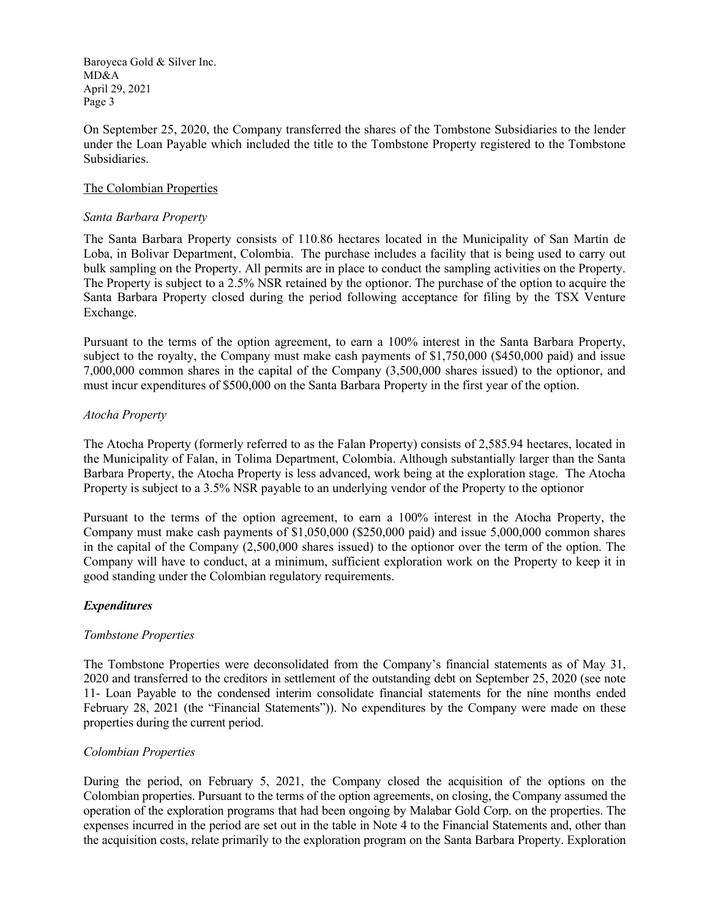On September 25, 2020, the Company transferred the shares of the Tombstone Subsidiaries to the lender under the Loan Payable which included the title to the Tombstone Property registered to the Tombstone Subsidiaries.

### The Colombian Properties

### Santa Barbara Property

The Santa Barbara Property consists of 110.86 hectares located in the Municipality of San Martín de Loba, in Bolivar Department, Colombia. The purchase includes a facility that is being used to carry out bulk sampling on the Property. All permits are in place to conduct the sampling activities on the Property. The Property is subject to a 2.5% NSR retained by the optionor. The purchase of the option to acquire the Santa Barbara Property closed during the period following acceptance for filing by the TSX Venture Exchange.

Pursuant to the terms of the option agreement, to earn a 100% interest in the Santa Barbara Property, subject to the royalty, the Company must make cash payments of \$1,750,000 (\$450,000 paid) and issue 7,000,000 common shares in the capital of the Company (3,500,000 shares issued) to the optionor, and must incur expenditures of \$500,000 on the Santa Barbara Property in the first year of the option.

### Atocha Property

The Atocha Property (formerly referred to as the Falan Property) consists of 2,585.94 hectares, located in the Municipality of Falan, in Tolima Department, Colombia. Although substantially larger than the Santa Barbara Property, the Atocha Property is less advanced, work being at the exploration stage. The Atocha Property is subject to a 3.5% NSR payable to an underlying vendor of the Property to the optionor

Pursuant to the terms of the option agreement, to earn a 100% interest in the Atocha Property, the Company must make cash payments of \$1,050,000 (\$250,000 paid) and issue 5,000,000 common shares in the capital of the Company (2,500,000 shares issued) to the optionor over the term of the option. The Company will have to conduct, at a minimum, sufficient exploration work on the Property to keep it in good standing under the Colombian regulatory requirements.

### Expenditures

### Tombstone Properties

The Tombstone Properties were deconsolidated from the Company's financial statements as of May 31, 2020 and transferred to the creditors in settlement of the outstanding debt on September 25, 2020 (see note 11- Loan Payable to the condensed interim consolidate financial statements for the nine months ended February 28, 2021 (the "Financial Statements")). No expenditures by the Company were made on these properties during the current period.

### Colombian Properties

During the period, on February 5, 2021, the Company closed the acquisition of the options on the Colombian properties. Pursuant to the terms of the option agreements, on closing, the Company assumed the operation of the exploration programs that had been ongoing by Malabar Gold Corp. on the properties. The expenses incurred in the period are set out in the table in Note 4 to the Financial Statements and, other than the acquisition costs, relate primarily to the exploration program on the Santa Barbara Property. Exploration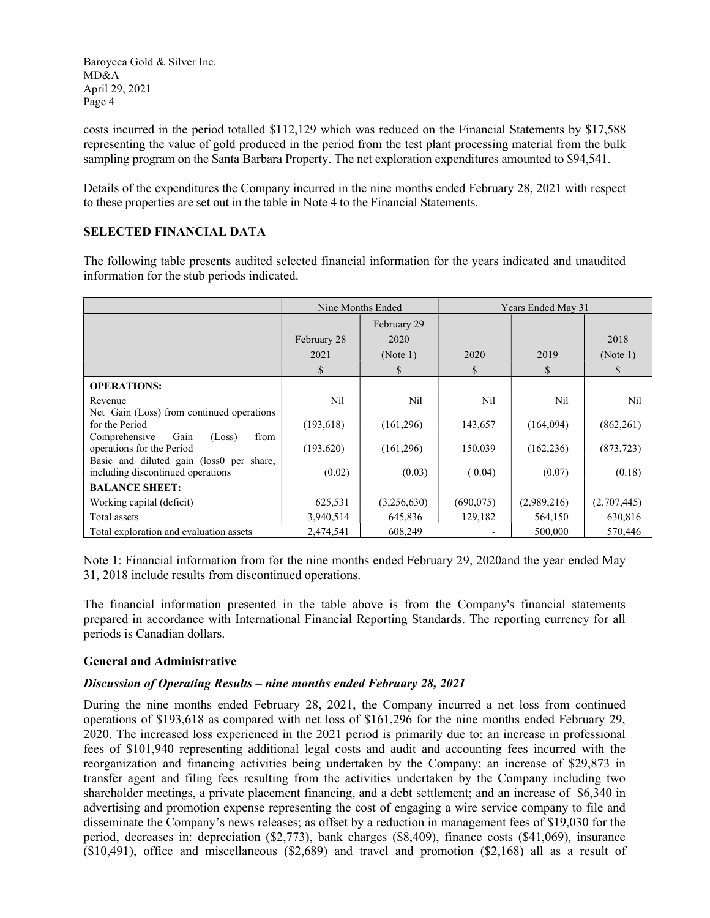costs incurred in the period totalled \$112,129 which was reduced on the Financial Statements by \$17,588 representing the value of gold produced in the period from the test plant processing material from the bulk sampling program on the Santa Barbara Property. The net exploration expenditures amounted to \$94,541.

Details of the expenditures the Company incurred in the nine months ended February 28, 2021 with respect to these properties are set out in the table in Note 4 to the Financial Statements.

# SELECTED FINANCIAL DATA

The following table presents audited selected financial information for the years indicated and unaudited information for the stub periods indicated.

|                                                           | Nine Months Ended |             | Years Ended May 31 |             |             |
|-----------------------------------------------------------|-------------------|-------------|--------------------|-------------|-------------|
|                                                           |                   | February 29 |                    |             |             |
|                                                           | February 28       | 2020        |                    |             | 2018        |
|                                                           | 2021              | (Note 1)    | 2020               | 2019        | (Note 1)    |
|                                                           | \$                | \$.         | \$.                | S           | S           |
| <b>OPERATIONS:</b>                                        |                   |             |                    |             |             |
| Revenue                                                   | Nil               | Nil         | Nil                | Nil         | Nil         |
| Net Gain (Loss) from continued operations                 |                   |             |                    |             |             |
| for the Period<br>Gain<br>Comprehensive<br>(Loss)<br>from | (193, 618)        | (161,296)   | 143,657            | (164,094)   | (862, 261)  |
| operations for the Period                                 | (193,620)         | (161,296)   | 150,039            | (162, 236)  | (873, 723)  |
| Basic and diluted gain (loss0 per share,                  |                   |             |                    |             |             |
| including discontinued operations                         | (0.02)            | (0.03)      | (0.04)             | (0.07)      | (0.18)      |
| <b>BALANCE SHEET:</b>                                     |                   |             |                    |             |             |
| Working capital (deficit)                                 | 625,531           | (3,256,630) | (690,075)          | (2,989,216) | (2,707,445) |
| Total assets                                              | 3,940,514         | 645,836     | 129,182            | 564,150     | 630,816     |
| Total exploration and evaluation assets                   | 2,474,541         | 608,249     |                    | 500,000     | 570,446     |

Note 1: Financial information from for the nine months ended February 29, 2020and the year ended May 31, 2018 include results from discontinued operations.

The financial information presented in the table above is from the Company's financial statements prepared in accordance with International Financial Reporting Standards. The reporting currency for all periods is Canadian dollars.

### General and Administrative

### Discussion of Operating Results – nine months ended February 28, 2021

During the nine months ended February 28, 2021, the Company incurred a net loss from continued operations of \$193,618 as compared with net loss of \$161,296 for the nine months ended February 29, 2020. The increased loss experienced in the 2021 period is primarily due to: an increase in professional fees of \$101,940 representing additional legal costs and audit and accounting fees incurred with the reorganization and financing activities being undertaken by the Company; an increase of \$29,873 in transfer agent and filing fees resulting from the activities undertaken by the Company including two shareholder meetings, a private placement financing, and a debt settlement; and an increase of \$6,340 in advertising and promotion expense representing the cost of engaging a wire service company to file and disseminate the Company's news releases; as offset by a reduction in management fees of \$19,030 for the period, decreases in: depreciation (\$2,773), bank charges (\$8,409), finance costs (\$41,069), insurance (\$10,491), office and miscellaneous (\$2,689) and travel and promotion (\$2,168) all as a result of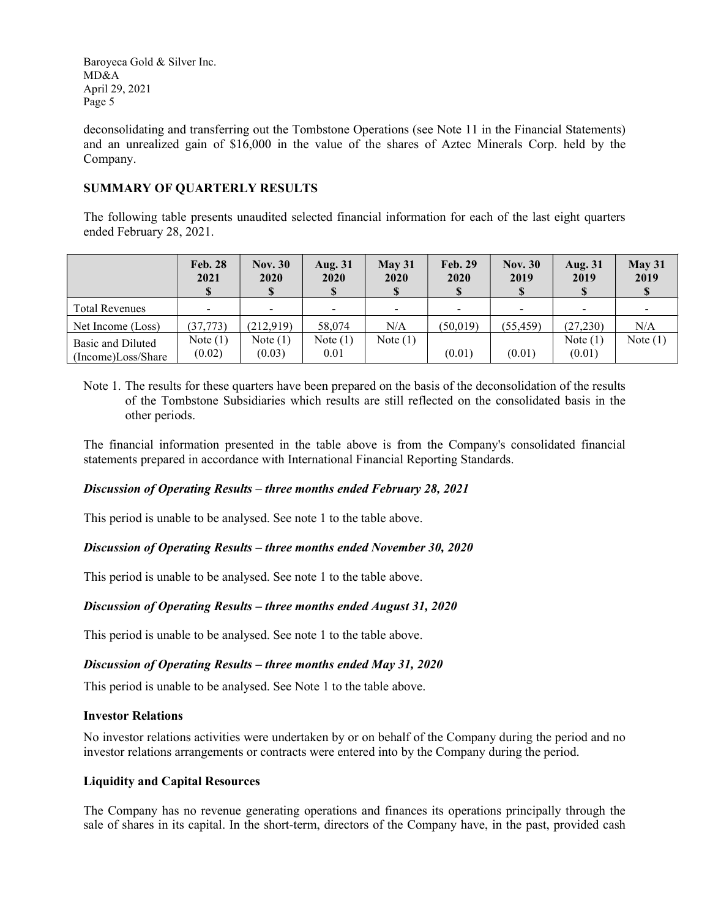deconsolidating and transferring out the Tombstone Operations (see Note 11 in the Financial Statements) and an unrealized gain of \$16,000 in the value of the shares of Aztec Minerals Corp. held by the Company.

# SUMMARY OF QUARTERLY RESULTS

The following table presents unaudited selected financial information for each of the last eight quarters ended February 28, 2021.

|                                         | <b>Feb. 28</b><br>2021   | <b>Nov. 30</b><br>2020 | <b>Aug. 31</b><br><b>2020</b><br>S | May 31<br>2020<br>S | <b>Feb. 29</b><br>2020 | <b>Nov. 30</b><br>2019 | <b>Aug. 31</b><br>2019 | May 31<br>2019 |
|-----------------------------------------|--------------------------|------------------------|------------------------------------|---------------------|------------------------|------------------------|------------------------|----------------|
| <b>Total Revenues</b>                   | $\overline{\phantom{a}}$ | -                      | $\sim$                             | $\blacksquare$      |                        |                        | $\blacksquare$         |                |
| Net Income (Loss)                       | (37, 773)                | (212,919)              | 58,074                             | N/A                 | (50, 019)              | (55, 459)              | (27, 230)              | N/A            |
| Basic and Diluted<br>(Income)Loss/Share | Note $(1)$<br>(0.02)     | Note $(1)$<br>(0.03)   | Note $(1)$<br>0.01                 | Note $(1)$          | (0.01)                 | (0.01)                 | Note $(1)$<br>(0.01)   | Note $(1)$     |

Note 1. The results for these quarters have been prepared on the basis of the deconsolidation of the results of the Tombstone Subsidiaries which results are still reflected on the consolidated basis in the other periods.

The financial information presented in the table above is from the Company's consolidated financial statements prepared in accordance with International Financial Reporting Standards.

### Discussion of Operating Results – three months ended February 28, 2021

This period is unable to be analysed. See note 1 to the table above.

### Discussion of Operating Results – three months ended November 30, 2020

This period is unable to be analysed. See note 1 to the table above.

### Discussion of Operating Results – three months ended August 31, 2020

This period is unable to be analysed. See note 1 to the table above.

### Discussion of Operating Results – three months ended May 31, 2020

This period is unable to be analysed. See Note 1 to the table above.

### Investor Relations

No investor relations activities were undertaken by or on behalf of the Company during the period and no investor relations arrangements or contracts were entered into by the Company during the period.

### Liquidity and Capital Resources

The Company has no revenue generating operations and finances its operations principally through the sale of shares in its capital. In the short-term, directors of the Company have, in the past, provided cash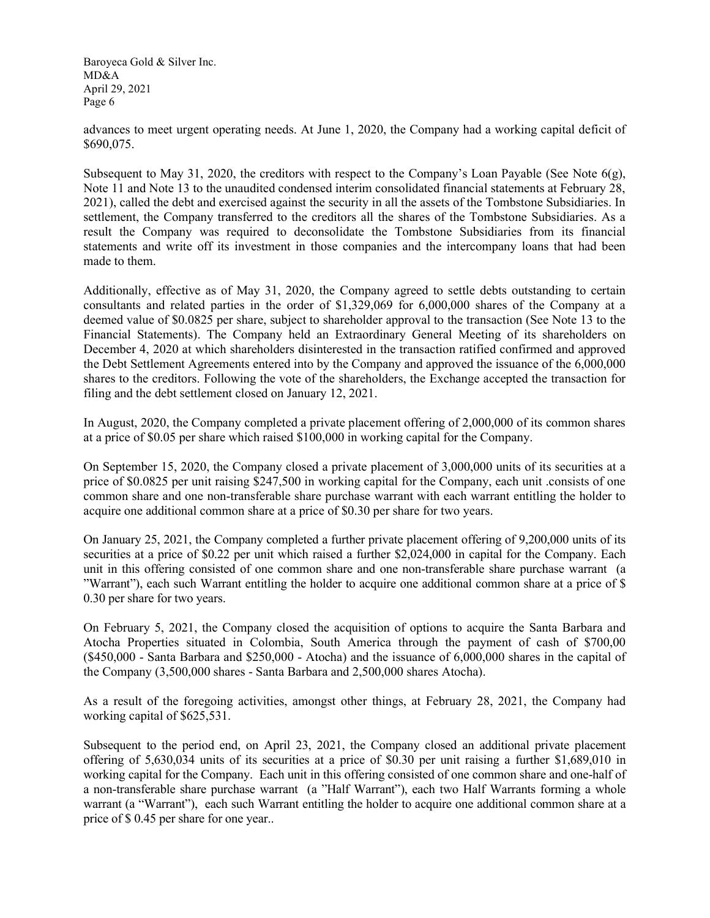advances to meet urgent operating needs. At June 1, 2020, the Company had a working capital deficit of \$690,075.

Subsequent to May 31, 2020, the creditors with respect to the Company's Loan Payable (See Note  $6(g)$ , Note 11 and Note 13 to the unaudited condensed interim consolidated financial statements at February 28, 2021), called the debt and exercised against the security in all the assets of the Tombstone Subsidiaries. In settlement, the Company transferred to the creditors all the shares of the Tombstone Subsidiaries. As a result the Company was required to deconsolidate the Tombstone Subsidiaries from its financial statements and write off its investment in those companies and the intercompany loans that had been made to them.

Additionally, effective as of May 31, 2020, the Company agreed to settle debts outstanding to certain consultants and related parties in the order of \$1,329,069 for 6,000,000 shares of the Company at a deemed value of \$0.0825 per share, subject to shareholder approval to the transaction (See Note 13 to the Financial Statements). The Company held an Extraordinary General Meeting of its shareholders on December 4, 2020 at which shareholders disinterested in the transaction ratified confirmed and approved the Debt Settlement Agreements entered into by the Company and approved the issuance of the 6,000,000 shares to the creditors. Following the vote of the shareholders, the Exchange accepted the transaction for filing and the debt settlement closed on January 12, 2021.

In August, 2020, the Company completed a private placement offering of 2,000,000 of its common shares at a price of \$0.05 per share which raised \$100,000 in working capital for the Company.

On September 15, 2020, the Company closed a private placement of 3,000,000 units of its securities at a price of \$0.0825 per unit raising \$247,500 in working capital for the Company, each unit .consists of one common share and one non-transferable share purchase warrant with each warrant entitling the holder to acquire one additional common share at a price of \$0.30 per share for two years.

On January 25, 2021, the Company completed a further private placement offering of 9,200,000 units of its securities at a price of \$0.22 per unit which raised a further \$2,024,000 in capital for the Company. Each unit in this offering consisted of one common share and one non-transferable share purchase warrant (a "Warrant"), each such Warrant entitling the holder to acquire one additional common share at a price of \$ 0.30 per share for two years.

On February 5, 2021, the Company closed the acquisition of options to acquire the Santa Barbara and Atocha Properties situated in Colombia, South America through the payment of cash of \$700,00 (\$450,000 - Santa Barbara and \$250,000 - Atocha) and the issuance of 6,000,000 shares in the capital of the Company (3,500,000 shares - Santa Barbara and 2,500,000 shares Atocha).

As a result of the foregoing activities, amongst other things, at February 28, 2021, the Company had working capital of \$625,531.

Subsequent to the period end, on April 23, 2021, the Company closed an additional private placement offering of 5,630,034 units of its securities at a price of \$0.30 per unit raising a further \$1,689,010 in working capital for the Company. Each unit in this offering consisted of one common share and one-half of a non-transferable share purchase warrant (a "Half Warrant"), each two Half Warrants forming a whole warrant (a "Warrant"), each such Warrant entitling the holder to acquire one additional common share at a price of \$ 0.45 per share for one year..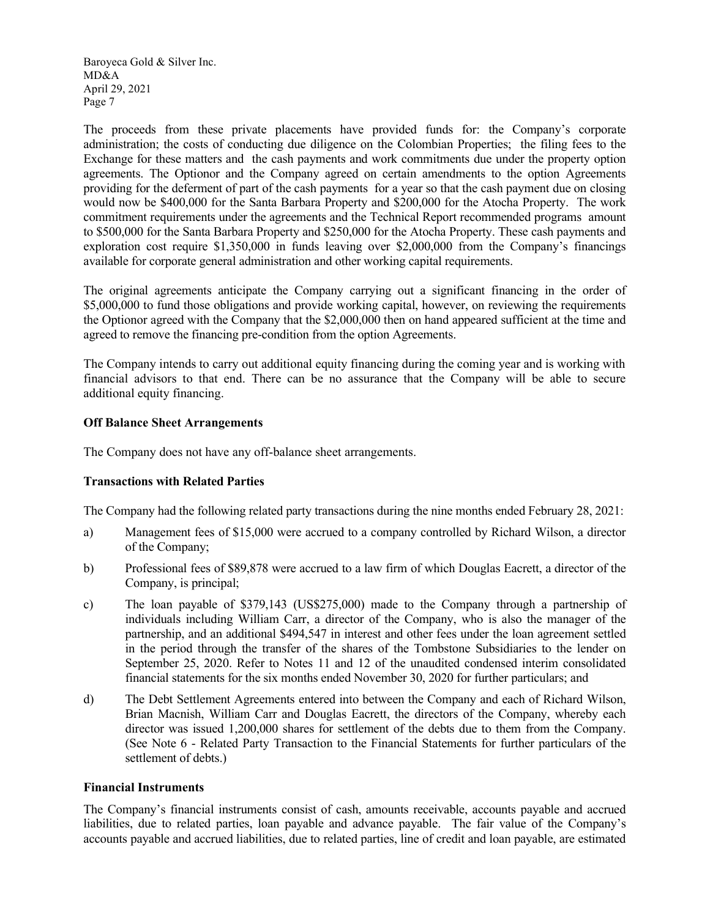The proceeds from these private placements have provided funds for: the Company's corporate administration; the costs of conducting due diligence on the Colombian Properties; the filing fees to the Exchange for these matters and the cash payments and work commitments due under the property option agreements. The Optionor and the Company agreed on certain amendments to the option Agreements providing for the deferment of part of the cash payments for a year so that the cash payment due on closing would now be \$400,000 for the Santa Barbara Property and \$200,000 for the Atocha Property. The work commitment requirements under the agreements and the Technical Report recommended programs amount to \$500,000 for the Santa Barbara Property and \$250,000 for the Atocha Property. These cash payments and exploration cost require \$1,350,000 in funds leaving over \$2,000,000 from the Company's financings available for corporate general administration and other working capital requirements.

The original agreements anticipate the Company carrying out a significant financing in the order of \$5,000,000 to fund those obligations and provide working capital, however, on reviewing the requirements the Optionor agreed with the Company that the \$2,000,000 then on hand appeared sufficient at the time and agreed to remove the financing pre-condition from the option Agreements.

The Company intends to carry out additional equity financing during the coming year and is working with financial advisors to that end. There can be no assurance that the Company will be able to secure additional equity financing.

### Off Balance Sheet Arrangements

The Company does not have any off-balance sheet arrangements.

### Transactions with Related Parties

The Company had the following related party transactions during the nine months ended February 28, 2021:

- a) Management fees of \$15,000 were accrued to a company controlled by Richard Wilson, a director of the Company;
- b) Professional fees of \$89,878 were accrued to a law firm of which Douglas Eacrett, a director of the Company, is principal;
- c) The loan payable of \$379,143 (US\$275,000) made to the Company through a partnership of individuals including William Carr, a director of the Company, who is also the manager of the partnership, and an additional \$494,547 in interest and other fees under the loan agreement settled in the period through the transfer of the shares of the Tombstone Subsidiaries to the lender on September 25, 2020. Refer to Notes 11 and 12 of the unaudited condensed interim consolidated financial statements for the six months ended November 30, 2020 for further particulars; and
- d) The Debt Settlement Agreements entered into between the Company and each of Richard Wilson, Brian Macnish, William Carr and Douglas Eacrett, the directors of the Company, whereby each director was issued 1,200,000 shares for settlement of the debts due to them from the Company. (See Note 6 - Related Party Transaction to the Financial Statements for further particulars of the settlement of debts.)

#### Financial Instruments

The Company's financial instruments consist of cash, amounts receivable, accounts payable and accrued liabilities, due to related parties, loan payable and advance payable. The fair value of the Company's accounts payable and accrued liabilities, due to related parties, line of credit and loan payable, are estimated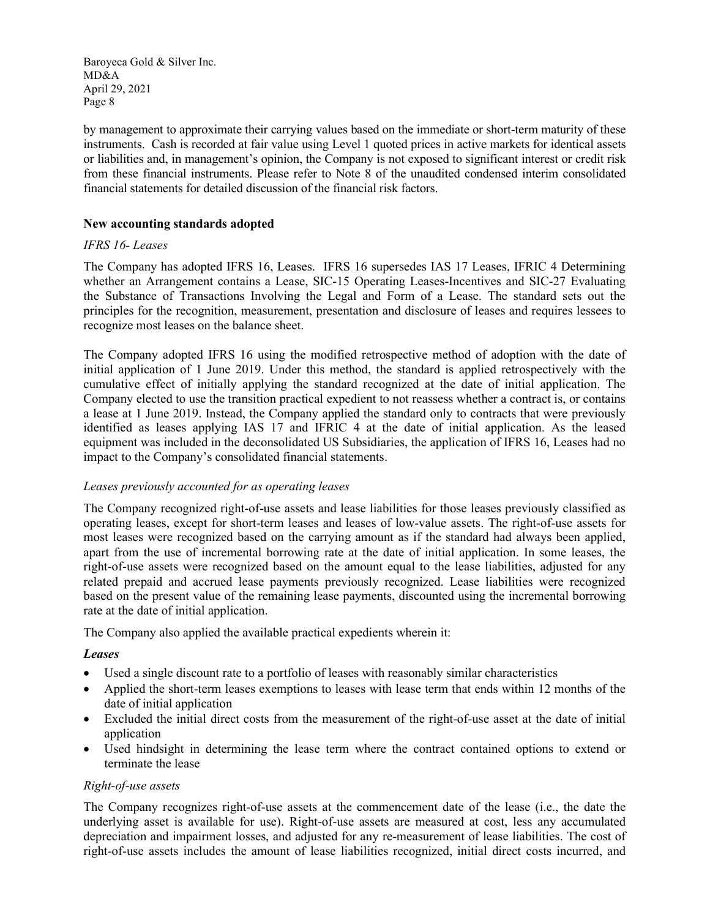by management to approximate their carrying values based on the immediate or short-term maturity of these instruments. Cash is recorded at fair value using Level 1 quoted prices in active markets for identical assets or liabilities and, in management's opinion, the Company is not exposed to significant interest or credit risk from these financial instruments. Please refer to Note 8 of the unaudited condensed interim consolidated financial statements for detailed discussion of the financial risk factors.

## New accounting standards adopted

# IFRS 16- Leases

The Company has adopted IFRS 16, Leases. IFRS 16 supersedes IAS 17 Leases, IFRIC 4 Determining whether an Arrangement contains a Lease, SIC-15 Operating Leases-Incentives and SIC-27 Evaluating the Substance of Transactions Involving the Legal and Form of a Lease. The standard sets out the principles for the recognition, measurement, presentation and disclosure of leases and requires lessees to recognize most leases on the balance sheet.

The Company adopted IFRS 16 using the modified retrospective method of adoption with the date of initial application of 1 June 2019. Under this method, the standard is applied retrospectively with the cumulative effect of initially applying the standard recognized at the date of initial application. The Company elected to use the transition practical expedient to not reassess whether a contract is, or contains a lease at 1 June 2019. Instead, the Company applied the standard only to contracts that were previously identified as leases applying IAS 17 and IFRIC 4 at the date of initial application. As the leased equipment was included in the deconsolidated US Subsidiaries, the application of IFRS 16, Leases had no impact to the Company's consolidated financial statements.

### Leases previously accounted for as operating leases

The Company recognized right-of-use assets and lease liabilities for those leases previously classified as operating leases, except for short-term leases and leases of low-value assets. The right-of-use assets for most leases were recognized based on the carrying amount as if the standard had always been applied, apart from the use of incremental borrowing rate at the date of initial application. In some leases, the right-of-use assets were recognized based on the amount equal to the lease liabilities, adjusted for any related prepaid and accrued lease payments previously recognized. Lease liabilities were recognized based on the present value of the remaining lease payments, discounted using the incremental borrowing rate at the date of initial application.

The Company also applied the available practical expedients wherein it:

# Leases

- Used a single discount rate to a portfolio of leases with reasonably similar characteristics
- Applied the short-term leases exemptions to leases with lease term that ends within 12 months of the date of initial application
- Excluded the initial direct costs from the measurement of the right-of-use asset at the date of initial application
- Used hindsight in determining the lease term where the contract contained options to extend or terminate the lease

### Right-of-use assets

The Company recognizes right-of-use assets at the commencement date of the lease (i.e., the date the underlying asset is available for use). Right-of-use assets are measured at cost, less any accumulated depreciation and impairment losses, and adjusted for any re-measurement of lease liabilities. The cost of right-of-use assets includes the amount of lease liabilities recognized, initial direct costs incurred, and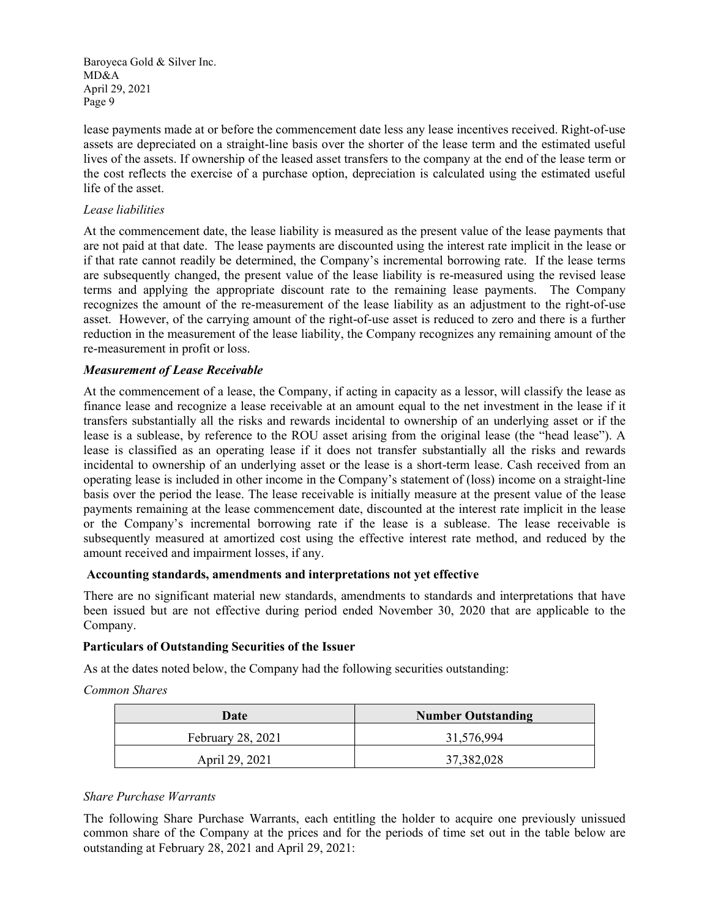lease payments made at or before the commencement date less any lease incentives received. Right-of-use assets are depreciated on a straight-line basis over the shorter of the lease term and the estimated useful lives of the assets. If ownership of the leased asset transfers to the company at the end of the lease term or the cost reflects the exercise of a purchase option, depreciation is calculated using the estimated useful life of the asset.

#### Lease liabilities

At the commencement date, the lease liability is measured as the present value of the lease payments that are not paid at that date. The lease payments are discounted using the interest rate implicit in the lease or if that rate cannot readily be determined, the Company's incremental borrowing rate. If the lease terms are subsequently changed, the present value of the lease liability is re-measured using the revised lease terms and applying the appropriate discount rate to the remaining lease payments. The Company recognizes the amount of the re-measurement of the lease liability as an adjustment to the right-of-use asset. However, of the carrying amount of the right-of-use asset is reduced to zero and there is a further reduction in the measurement of the lease liability, the Company recognizes any remaining amount of the re-measurement in profit or loss.

### Measurement of Lease Receivable

At the commencement of a lease, the Company, if acting in capacity as a lessor, will classify the lease as finance lease and recognize a lease receivable at an amount equal to the net investment in the lease if it transfers substantially all the risks and rewards incidental to ownership of an underlying asset or if the lease is a sublease, by reference to the ROU asset arising from the original lease (the "head lease"). A lease is classified as an operating lease if it does not transfer substantially all the risks and rewards incidental to ownership of an underlying asset or the lease is a short-term lease. Cash received from an operating lease is included in other income in the Company's statement of (loss) income on a straight-line basis over the period the lease. The lease receivable is initially measure at the present value of the lease payments remaining at the lease commencement date, discounted at the interest rate implicit in the lease or the Company's incremental borrowing rate if the lease is a sublease. The lease receivable is subsequently measured at amortized cost using the effective interest rate method, and reduced by the amount received and impairment losses, if any.

### Accounting standards, amendments and interpretations not yet effective

There are no significant material new standards, amendments to standards and interpretations that have been issued but are not effective during period ended November 30, 2020 that are applicable to the Company.

#### Particulars of Outstanding Securities of the Issuer

As at the dates noted below, the Company had the following securities outstanding:

Common Shares

| Date              | <b>Number Outstanding</b> |  |  |
|-------------------|---------------------------|--|--|
| February 28, 2021 | 31,576,994                |  |  |
| April 29, 2021    | 37,382,028                |  |  |

### Share Purchase Warrants

The following Share Purchase Warrants, each entitling the holder to acquire one previously unissued common share of the Company at the prices and for the periods of time set out in the table below are outstanding at February 28, 2021 and April 29, 2021: